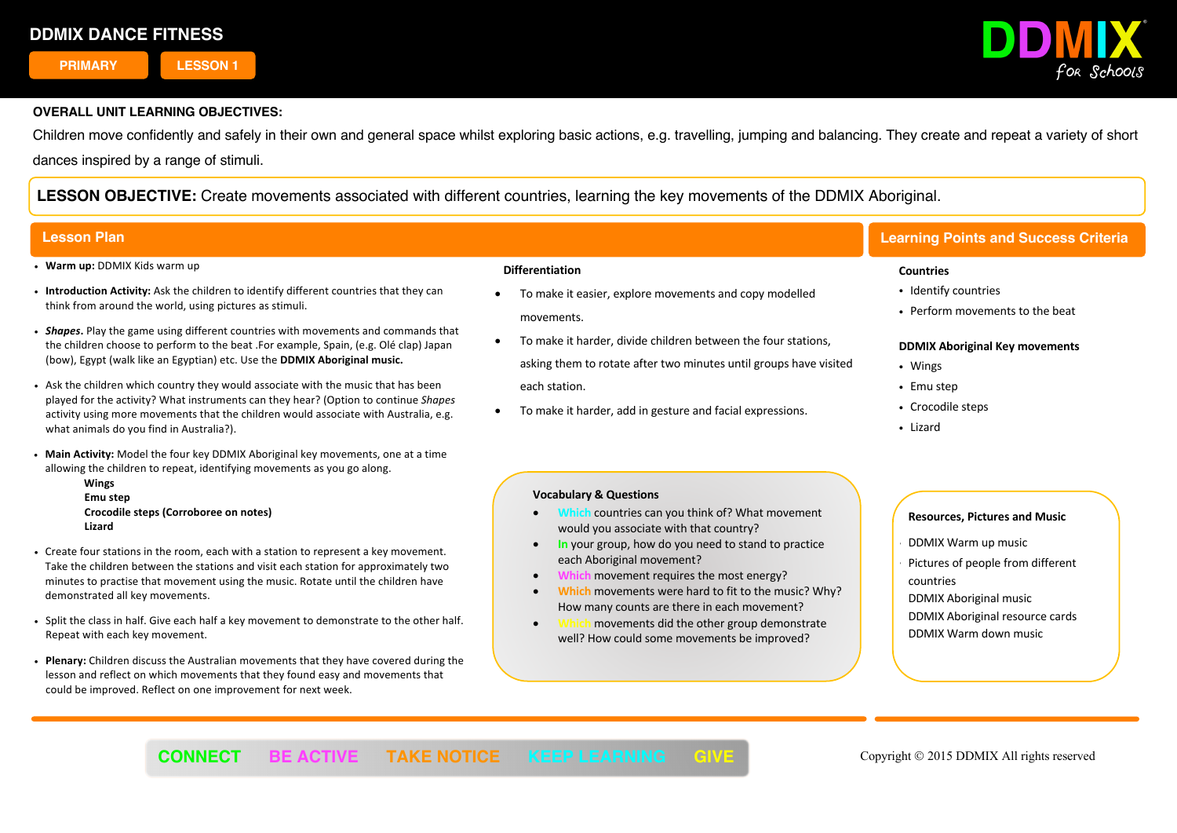**PRIMARY LESSON 1**

**1**



## **OVERALL UNIT LEARNING OBJECTIVES:**

Children move confidently and safely in their own and general space whilst exploring basic actions, e.g. travelling, jumping and balancing. They create and repeat a variety of short dances inspired by a range of stimuli.

**LESSON OBJECTIVE:** Create movements associated with different countries, learning the key movements of the DDMIX Aboriginal.

- ! **Warm up:** DDMIX Kids warm up
- ! **Introduction Activity:** Ask the children to identify different countries that they can think from around the world, using pictures as stimuli.
- ! *Shapes***.** Play the game using different countries with movements and commands that the children choose to perform to the beat .For example, Spain, (e.g. Olé clap) Japan (bow), Egypt (walk like an Egyptian) etc. Use the **DDMIX Aboriginal music.**
- ! Ask the children which country they would associate with the music that has been played for the activity? What instruments can they hear? (Option to continue *Shapes* activity using more movements that the children would associate with Australia, e.g. what animals do you find in Australia?).
- ! **Main Activity:** Model the four key DDMIX Aboriginal key movements, one at a time allowing the children to repeat, identifying movements as you go along.
	- **Wings Emu step Crocodile steps (Corroboree on notes) Lizard**
- ! Create four stations in the room, each with a station to represent a key movement. Take the children between the stations and visit each station for approximately two minutes to practise that movement using the music. Rotate until the children have demonstrated all key movements.
- ! Split the class in half. Give each half a key movement to demonstrate to the other half. Repeat with each key movement.
- ! **Plenary:** Children discuss the Australian movements that they have covered during the lesson and reflect on which movements that they found easy and movements that could be improved. Reflect on one improvement for next week.

### **Differentiation**

- To make it easier, explore movements and copy modelled movements.
- To make it harder, divide children between the four stations, asking them to rotate after two minutes until groups have visited each station.
- To make it harder, add in gesture and facial expressions.

### **Vocabulary & Questions**

- **Which** countries can you think of? What movement would you associate with that country?
- **In** your group, how do you need to stand to practice each Aboriginal movement?
- **Which** movement requires the most energy?
- **Which** movements were hard to fit to the music? Why? How many counts are there in each movement?
- movements did the other group demonstrate well? How could some movements be improved?

í

# **Lesson Plan Learning Points and Success Criteria**

### **Countries**

- Identify countries
- ! Perform movements to the beat

### **DDMIX Aboriginal Key movements**

- Wings
- Emu step
- Crocodile steps
- Lizard

- ! DDMIX Warm up music
- Pictures of people from different countries
- DDMIX Aboriginal music
- DDMIX Aboriginal resource cards
- DDMIX Warm down music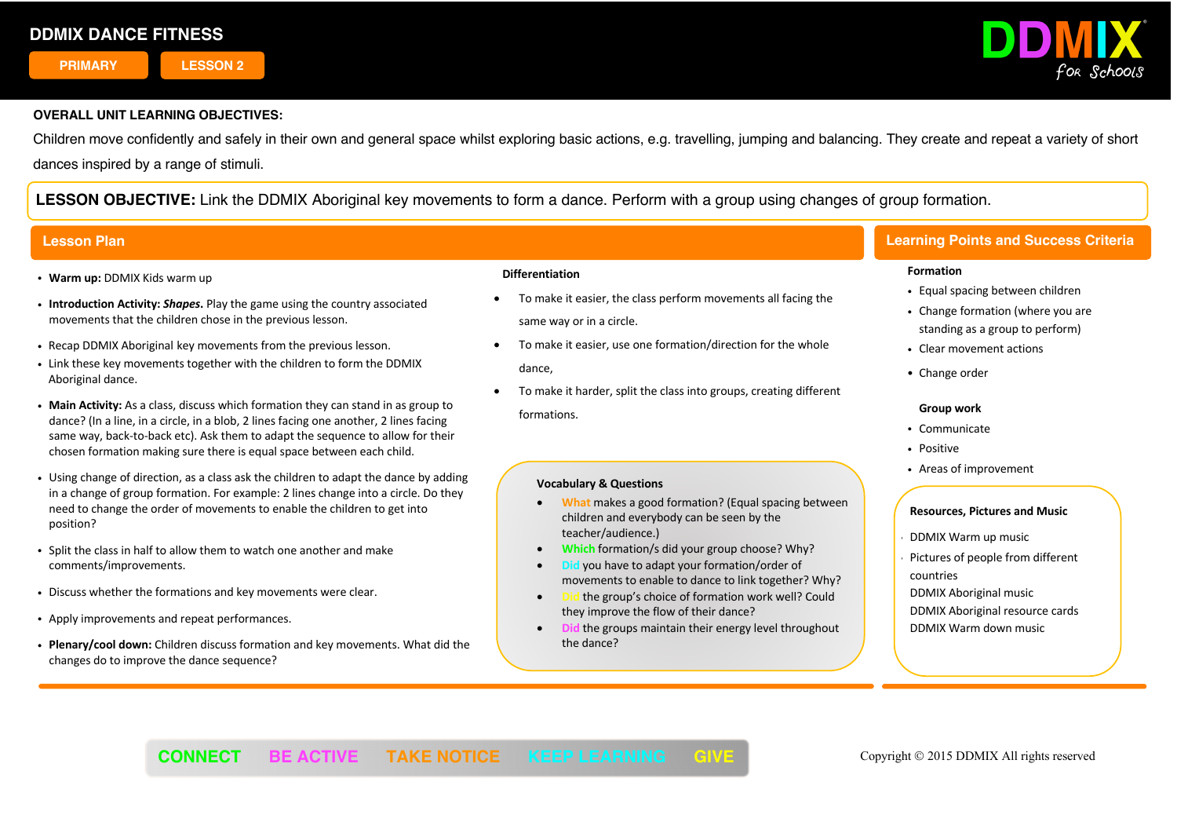**PRIMARY LESSON 2**



## **OVERALL UNIT LEARNING OBJECTIVES:**

Children move confidently and safely in their own and general space whilst exploring basic actions, e.g. travelling, jumping and balancing. They create and repeat a variety of short dances inspired by a range of stimuli.

**LESSON OBJECTIVE:** Link the DDMIX Aboriginal key movements to form a dance. Perform with a group using changes of group formation.

- ! **Warm up:** DDMIX Kids warm up
- ! **Introduction Activity:** *Shapes***.** Play the game using the country associated movements that the children chose in the previous lesson.
- ! Recap DDMIX Aboriginal key movements from the previous lesson.
- . Link these key movements together with the children to form the DDMIX Aboriginal dance.
- ! **Main Activity:** As a class, discuss which formation they can stand in as group to dance? (In a line, in a circle, in a blob, 2 lines facing one another, 2 lines facing same way, back-to-back etc). Ask them to adapt the sequence to allow for their chosen formation making sure there is equal space between each child.
- . Using change of direction, as a class ask the children to adapt the dance by adding in a change of group formation. For example: 2 lines change into a circle. Do they need to change the order of movements to enable the children to get into position?
- ! Split the class in half to allow them to watch one another and make comments/improvements.
- . Discuss whether the formations and key movements were clear.
- ! Apply improvements and repeat performances.
- ! **Plenary/cool down:** Children discuss formation and key movements. What did the changes do to improve the dance sequence?

### **Differentiation**

- To make it easier, the class perform movements all facing the same way or in a circle.
- To make it easier, use one formation/direction for the whole dance,
- To make it harder, split the class into groups, creating different formations.

### **Vocabulary & Questions**

- **What** makes a good formation? (Equal spacing between children and everybody can be seen by the teacher/audience.)
- **Which** formation/s did your group choose? Why?
- **Did** you have to adapt your formation/order of movements to enable to dance to link together? Why?
- **Did** the group's choice of formation work well? Could they improve the flow of their dance?
- **Did** the groups maintain their energy level throughout the dance?

# **Lesson Plan Learning Points and Success Criteria**

#### **Formation**

- Equal spacing between children
- Change formation (where you are standing as a group to perform)
- Clear movement actions
- Change order

### **Group work**

- ! Communicate
- Positive
- ! Areas of improvement

## **Resources, Pictures and Music**

- ! DDMIX Warm up music
- Pictures of people from different countries

DDMIX Aboriginal music DDMIX Aboriginal resource cards DDMIX Warm down music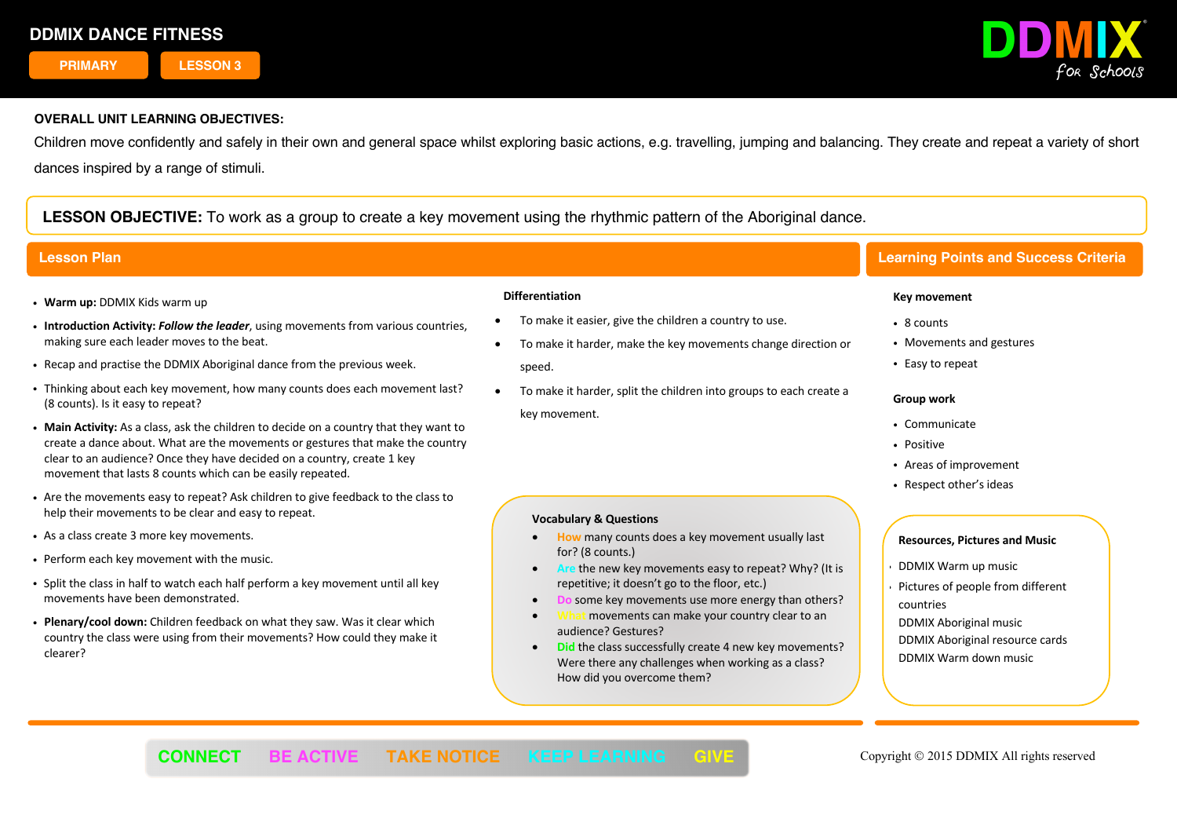**PRIMARY LESSON 3**



## **OVERALL UNIT LEARNING OBJECTIVES:**

Children move confidently and safely in their own and general space whilst exploring basic actions, e.g. travelling, jumping and balancing. They create and repeat a variety of short dances inspired by a range of stimuli.

**LESSON OBJECTIVE:** To work as a group to create a key movement using the rhythmic pattern of the Aboriginal dance.

- ! **Warm up:** DDMIX Kids warm up
- ! **Introduction Activity:** *Follow the leader*, using movements from various countries, making sure each leader moves to the beat.
- ! Recap and practise the DDMIX Aboriginal dance from the previous week.
- ! Thinking about each key movement, how many counts does each movement last? (8 counts). Is it easy to repeat?
- ! **Main Activity:** As a class, ask the children to decide on a country that they want to create a dance about. What are the movements or gestures that make the country clear to an audience? Once they have decided on a country, create 1 key movement that lasts 8 counts which can be easily repeated.
- ! Are the movements easy to repeat? Ask children to give feedback to the class to help their movements to be clear and easy to repeat.
- . As a class create 3 more key movements.
- . Perform each key movement with the music.
- . Split the class in half to watch each half perform a key movement until all key movements have been demonstrated.
- ! **Plenary/cool down:** Children feedback on what they saw. Was it clear which country the class were using from their movements? How could they make it clearer?

#### **Differentiation**

• To make it easier, give the children a country to use.

**Vocabulary & Questions**

for? (8 counts.)

audience? Gestures?

How did you overcome them?

- To make it harder, make the key movements change direction or speed.
- To make it harder, split the children into groups to each create a key movement.

• **How** many counts does a key movement usually last

repetitive; it doesn't go to the floor, etc.)

• **Are** the new key movements easy to repeat? Why? (It is

**some key movements use more energy than others?** movements can make your country clear to an

**Did the class successfully create 4 new key movements?** Were there any challenges when working as a class?

# **Lesson Plan Learning Points and Success Criteria**

### **Key movement**

- 8 counts
- Movements and gestures
- Easy to repeat

#### **Group work**

- ! Communicate
- Positive
- ! Areas of improvement
- Respect other's ideas

- ! DDMIX Warm up music
- Pictures of people from different countries
- DDMIX Aboriginal music DDMIX Aboriginal resource cards DDMIX Warm down music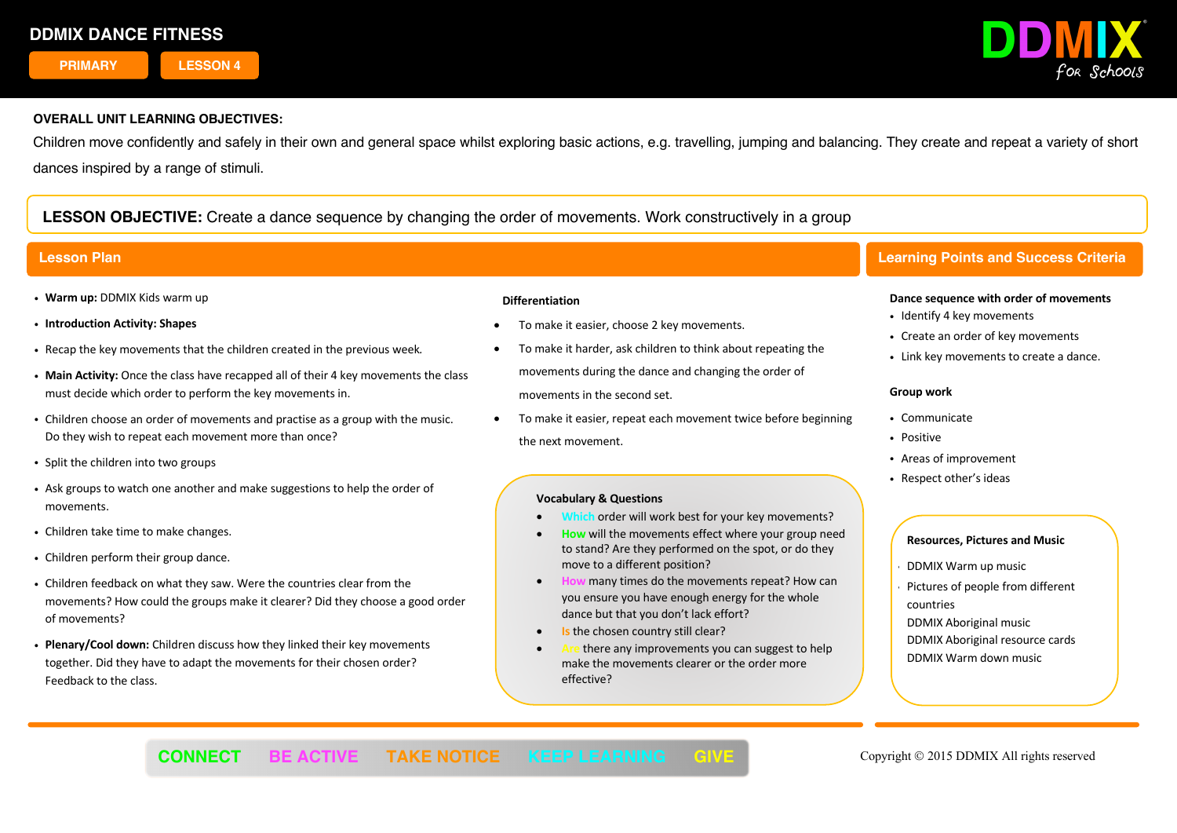**PRIMARY LESSON 4**



# **OVERALL UNIT LEARNING OBJECTIVES:**

Children move confidently and safely in their own and general space whilst exploring basic actions, e.g. travelling, jumping and balancing. They create and repeat a variety of short dances inspired by a range of stimuli.

# **LESSON OBJECTIVE:** Create a dance sequence by changing the order of movements. Work constructively in a group

- ! **Warm up:** DDMIX Kids warm up
- ! **Introduction Activity: Shapes**
- ! Recap the key movements that the children created in the previous week*.*
- ! **Main Activity:** Once the class have recapped all of their 4 key movements the class must decide which order to perform the key movements in.
- ! Children choose an order of movements and practise as a group with the music. Do they wish to repeat each movement more than once?
- Split the children into two groups
- ! Ask groups to watch one another and make suggestions to help the order of movements.
- . Children take time to make changes.
- Children perform their group dance.
- ! Children feedback on what they saw. Were the countries clear from the movements? How could the groups make it clearer? Did they choose a good order of movements?
- ! **Plenary/Cool down:** Children discuss how they linked their key movements together. Did they have to adapt the movements for their chosen order? Feedback to the class.

### **Differentiation**

- To make it easier, choose 2 key movements.
- To make it harder, ask children to think about repeating the movements during the dance and changing the order of movements in the second set.
- To make it easier, repeat each movement twice before beginning the next movement.

### **Vocabulary & Questions**

- Which order will work best for your key movements?
- **How** will the movements effect where your group need to stand? Are they performed on the spot, or do they move to a different position?
- **How** many times do the movements repeat? How can you ensure you have enough energy for the whole dance but that you don't lack effort?
- **Is the chosen country still clear?**
- there any improvements you can suggest to help make the movements clearer or the order more effective?

í

# **Lesson Plan Learning Points and Success Criteria**

#### **Dance sequence with order of movements**

- Identify 4 key movements
- Create an order of key movements
- . Link key movements to create a dance.

#### **Group work**

- Communicate
- · Positive
- ! Areas of improvement
- Respect other's ideas

- ! DDMIX Warm up music
- Pictures of people from different countries
- DDMIX Aboriginal music DDMIX Aboriginal resource cards DDMIX Warm down music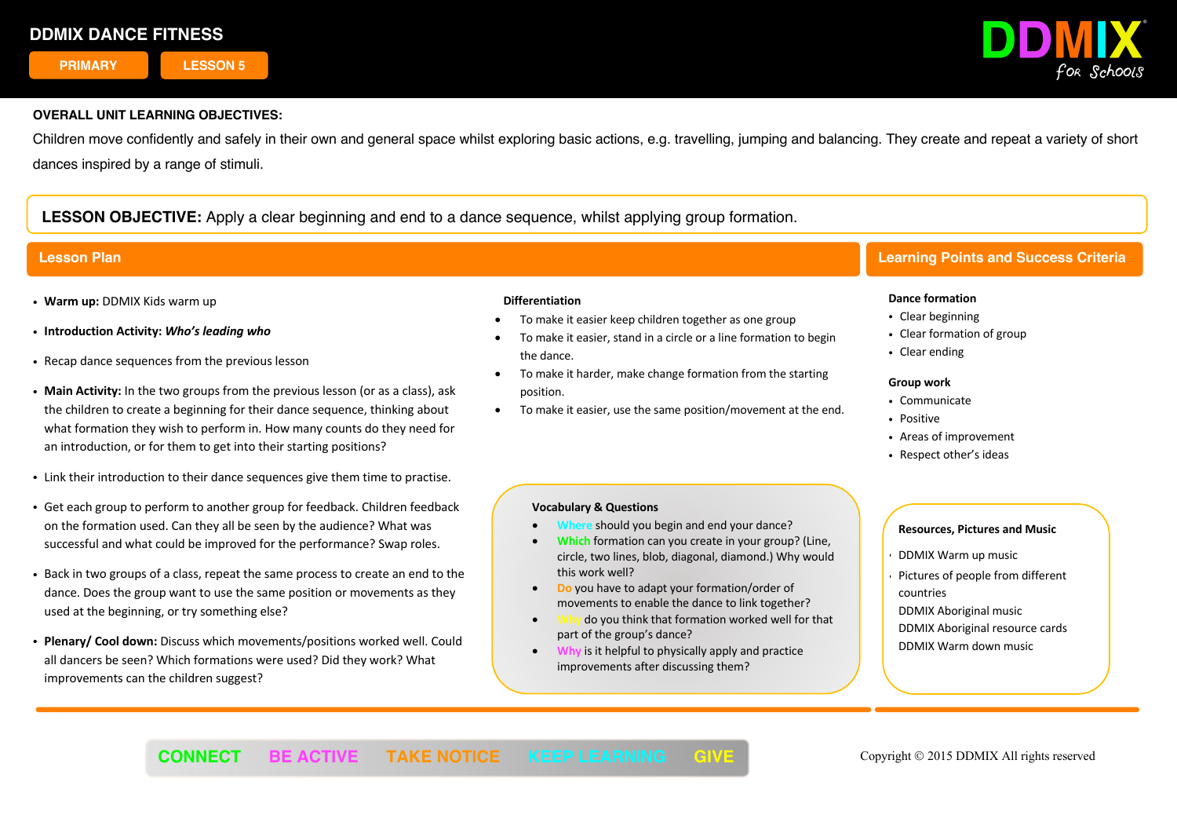**PRIMARY LESSON 5**



## **OVERALL UNIT LEARNING OBJECTIVES:**

Children move confidently and safely in their own and general space whilst exploring basic actions, e.g. travelling, jumping and balancing. They create and repeat a variety of short dances inspired by a range of stimuli.

# **LESSON OBJECTIVE:** Apply a clear beginning and end to a dance sequence, whilst applying group formation.

- ! **Warm up:** DDMIX Kids warm up
- ! **Introduction Activity:** *Who's leading who*
- . Recap dance sequences from the previous lesson
- ! **Main Activity:** In the two groups from the previous lesson (or as a class), ask the children to create a beginning for their dance sequence, thinking about what formation they wish to perform in. How many counts do they need for an introduction, or for them to get into their starting positions?
- . Link their introduction to their dance sequences give them time to practise.
- ! Get each group to perform to another group for feedback. Children feedback on the formation used. Can they all be seen by the audience? What was successful and what could be improved for the performance? Swap roles.
- ! Back in two groups of a class, repeat the same process to create an end to the dance. Does the group want to use the same position or movements as they used at the beginning, or try something else?
- ! **Plenary/ Cool down:** Discuss which movements/positions worked well. Could all dancers be seen? Which formations were used? Did they work? What improvements can the children suggest?

### **Differentiation**

- To make it easier keep children together as one group
- To make it easier, stand in a circle or a line formation to begin the dance.
- To make it harder, make change formation from the starting position.
- To make it easier, use the same position/movement at the end.

## **Vocabulary & Questions**

- **should you begin and end your dance?**
- **Which** formation can you create in your group? (Line, circle, two lines, blob, diagonal, diamond.) Why would this work well?
- **Do** you have to adapt your formation/order of movements to enable the dance to link together?
- **Why** do you think that formation worked well for that part of the group's dance?

í

• **Why** is it helpful to physically apply and practice improvements after discussing them?

# **Lesson Plan Learning Points and Success Criteria**

#### **Dance formation**

- Clear beginning
- Clear formation of group
- Clear ending

#### **Group work**

- Communicate
- . Positive
- Areas of improvement
- Respect other's ideas

- ! DDMIX Warm up music
- Pictures of people from different countries
- DDMIX Aboriginal music DDMIX Aboriginal resource cards DDMIX Warm down music